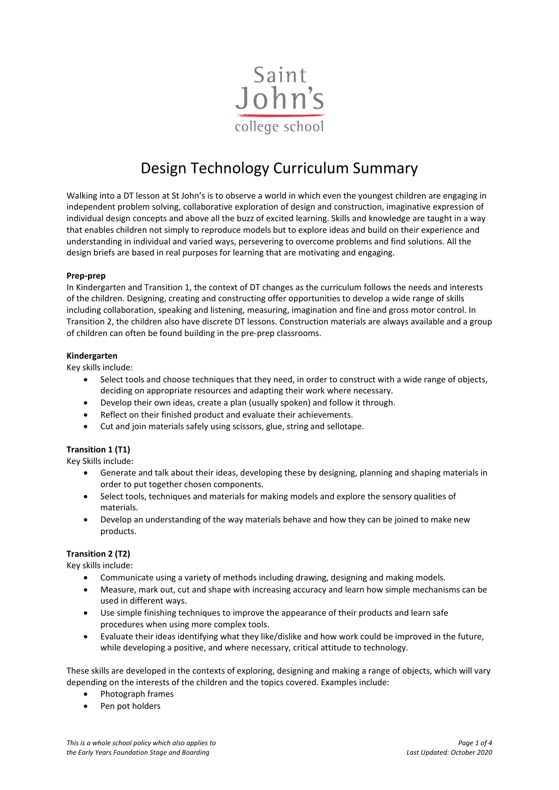

# Design Technology Curriculum Summary

Walking into a DT lesson at St John's is to observe a world in which even the youngest children are engaging in independent problem solving, collaborative exploration of design and construction, imaginative expression of individual design concepts and above all the buzz of excited learning. Skills and knowledge are taught in a way that enables children not simply to reproduce models but to explore ideas and build on their experience and understanding in individual and varied ways, persevering to overcome problems and find solutions. All the design briefs are based in real purposes for learning that are motivating and engaging.

## **Prep-prep**

In Kindergarten and Transition 1, the context of DT changes as the curriculum follows the needs and interests of the children. Designing, creating and constructing offer opportunities to develop a wide range of skills including collaboration, speaking and listening, measuring, imagination and fine and gross motor control. In Transition 2, the children also have discrete DT lessons. Construction materials are always available and a group of children can often be found building in the pre-prep classrooms.

## **Kindergarten**

Key skills include:

- Select tools and choose techniques that they need, in order to construct with a wide range of objects, deciding on appropriate resources and adapting their work where necessary.
- Develop their own ideas, create a plan (usually spoken) and follow it through.
- Reflect on their finished product and evaluate their achievements.
- Cut and join materials safely using scissors, glue, string and sellotape.

## **Transition 1 (T1)**

Key Skills include:

- Generate and talk about their ideas, developing these by designing, planning and shaping materials in order to put together chosen components.
- Select tools, techniques and materials for making models and explore the sensory qualities of materials.
- Develop an understanding of the way materials behave and how they can be joined to make new products.

## **Transition 2 (T2)**

Key skills include:

- Communicate using a variety of methods including drawing, designing and making models.
- Measure, mark out, cut and shape with increasing accuracy and learn how simple mechanisms can be used in different ways.
- Use simple finishing techniques to improve the appearance of their products and learn safe procedures when using more complex tools.
- Evaluate their ideas identifying what they like/dislike and how work could be improved in the future, while developing a positive, and where necessary, critical attitude to technology.

These skills are developed in the contexts of exploring, designing and making a range of objects, which will vary depending on the interests of the children and the topics covered. Examples include:

- Photograph frames
- Pen pot holders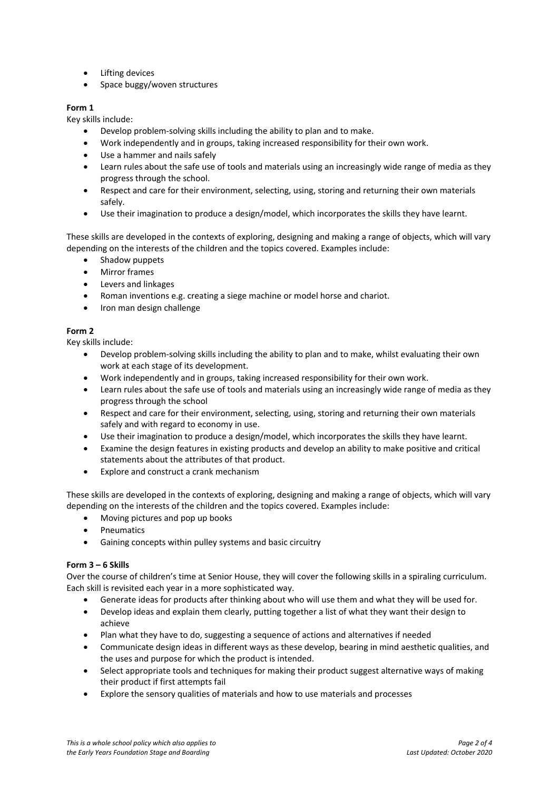- Lifting devices
- Space buggy/woven structures

# **Form 1**

Key skills include:

- Develop problem-solving skills including the ability to plan and to make.
- Work independently and in groups, taking increased responsibility for their own work.
- Use a hammer and nails safely
- Learn rules about the safe use of tools and materials using an increasingly wide range of media as they progress through the school.
- Respect and care for their environment, selecting, using, storing and returning their own materials safely.
- Use their imagination to produce a design/model, which incorporates the skills they have learnt.

These skills are developed in the contexts of exploring, designing and making a range of objects, which will vary depending on the interests of the children and the topics covered. Examples include:

- Shadow puppets
- Mirror frames
- Levers and linkages
- Roman inventions e.g. creating a siege machine or model horse and chariot.
- Iron man design challenge

# **Form 2**

Key skills include:

- Develop problem-solving skills including the ability to plan and to make, whilst evaluating their own work at each stage of its development.
- Work independently and in groups, taking increased responsibility for their own work.
- Learn rules about the safe use of tools and materials using an increasingly wide range of media as they progress through the school
- Respect and care for their environment, selecting, using, storing and returning their own materials safely and with regard to economy in use.
- Use their imagination to produce a design/model, which incorporates the skills they have learnt.
- Examine the design features in existing products and develop an ability to make positive and critical statements about the attributes of that product.
- Explore and construct a crank mechanism

These skills are developed in the contexts of exploring, designing and making a range of objects, which will vary depending on the interests of the children and the topics covered. Examples include:

- Moving pictures and pop up books
- Pneumatics
- Gaining concepts within pulley systems and basic circuitry

## **Form 3 – 6 Skills**

Over the course of children's time at Senior House, they will cover the following skills in a spiraling curriculum. Each skill is revisited each year in a more sophisticated way.

- [Generate ideas for products after thinking about who will use them and what they will be used for.](http://curriculum.qcda.gov.uk/key-stages-1-and-2/subjects/design-and-technology/keystage2/index.aspx#note2_1_a#note2_1_a)
- [Develop ideas and explain them clearly, putting together a list of what they want their design to](http://curriculum.qcda.gov.uk/key-stages-1-and-2/subjects/design-and-technology/keystage2/index.aspx#note2_2_a#note2_2_a)  [achieve](http://curriculum.qcda.gov.uk/key-stages-1-and-2/subjects/design-and-technology/keystage2/index.aspx#note2_2_a#note2_2_a)
- Plan what they have to do, suggesting a sequence of actions and alternatives if needed
- Communicate design ideas in different ways as these develop, bearing in mind aesthetic qualities, and the uses and purpose for which the product is intended.
- Select appropriate tools and techniques for making their product suggest alternative ways of making their product if first attempts fail
- [Explore the sensory qualities of materials and how to use materials and processes](http://curriculum.qcda.gov.uk/key-stages-1-and-2/subjects/design-and-technology/keystage2/index.aspx#note2_3_a#note2_3_a)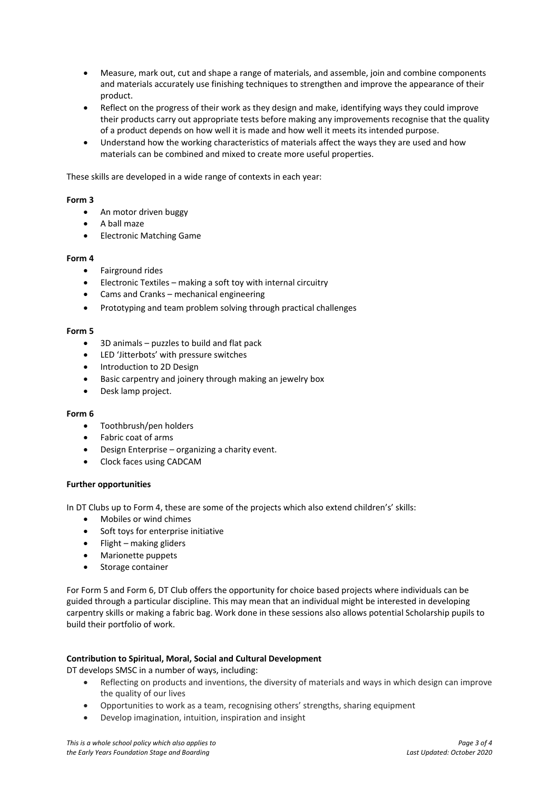- [Measure, mark out, cut and shape a range of materials, and assemble, join and combine components](http://curriculum.qcda.gov.uk/key-stages-1-and-2/subjects/design-and-technology/keystage2/index.aspx#note2_4_a#note2_4_a)  [and materials accurately](http://curriculum.qcda.gov.uk/key-stages-1-and-2/subjects/design-and-technology/keystage2/index.aspx#note2_4_a#note2_4_a) use finishing techniques to strengthen and improve the appearance of their product.
- Reflect on the progress of their work as they design and make, identifying ways they could improve their products carry out appropriate tests before making any improvements recognise that the quality of a product depends on how well it is made and how well it meets its intended purpose.
- Understand how the working characteristics of materials affect the ways they are used and how materials can be combined and mixed to create more useful properties.

These skills are developed in a wide range of contexts in each year:

## **Form 3**

- An motor driven buggy
- A ball maze
- Electronic Matching Game

## **Form 4**

- Fairground rides
- Electronic Textiles making a soft toy with internal circuitry
- Cams and Cranks mechanical engineering
- Prototyping and team problem solving through practical challenges

## **Form 5**

- 3D animals puzzles to build and flat pack
- LED 'Jitterbots' with pressure switches
- Introduction to 2D Design
- Basic carpentry and joinery through making an jewelry box
- Desk lamp project.

## **Form 6**

- Toothbrush/pen holders
- Fabric coat of arms
- Design Enterprise organizing a charity event.
- Clock faces using CADCAM

## **Further opportunities**

In DT Clubs up to Form 4, these are some of the projects which also extend children's' skills:

- Mobiles or wind chimes
- Soft toys for enterprise initiative
- $\bullet$  Flight making gliders
- Marionette puppets
- Storage container

For Form 5 and Form 6, DT Club offers the opportunity for choice based projects where individuals can be guided through a particular discipline. This may mean that an individual might be interested in developing carpentry skills or making a fabric bag. Work done in these sessions also allows potential Scholarship pupils to build their portfolio of work.

## **Contribution to Spiritual, Moral, Social and Cultural Development**

DT develops SMSC in a number of ways, including:

- Reflecting on products and inventions, the diversity of materials and ways in which design can improve the quality of our lives
- Opportunities to work as a team, recognising others' strengths, sharing equipment
- Develop imagination, intuition, inspiration and insight